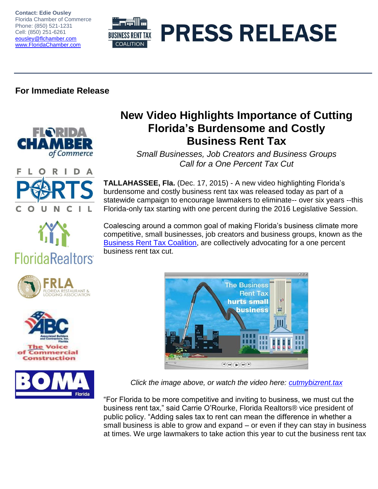**Contact: Edie Ousley** Florida Chamber of Commerce Phone: (850) 521-1231 Cell: (850) 251-6261 [eousley@flchamber.com](mailto:eousley@flchamber.com) [www.FloridaChamber.com](http://www.floridachamber.com/)



## **For Immediate Release**



## **New Video Highlights Importance of Cutting Florida's Burdensome and Costly Business Rent Tax**

*Small Businesses, Job Creators and Business Groups Call for a One Percent Tax Cut*



**TALLAHASSEE, Fla.** (Dec. 17, 2015) - A new video highlighting Florida's burdensome and costly business rent tax was released today as part of a statewide campaign to encourage lawmakers to eliminate-- over six years --this Florida-only tax starting with one percent during the 2016 Legislative Session.

Coalescing around a common goal of making Florida's business climate more competitive, small businesses, job creators and business groups, known as the [Business Rent Tax Coalition,](http://cutmybizrent.tax/) are collectively advocating for a one percent business rent tax cut.



**FloridaRealtors** 







*Click the image above, or watch the video here: [cutmybizrent.tax](http://cutmybizrent.tax/)*

"For Florida to be more competitive and inviting to business, we must cut the business rent tax," said Carrie O'Rourke, Florida Realtors® vice president of public policy. "Adding sales tax to rent can mean the difference in whether a small business is able to grow and expand – or even if they can stay in business at times. We urge lawmakers to take action this year to cut the business rent tax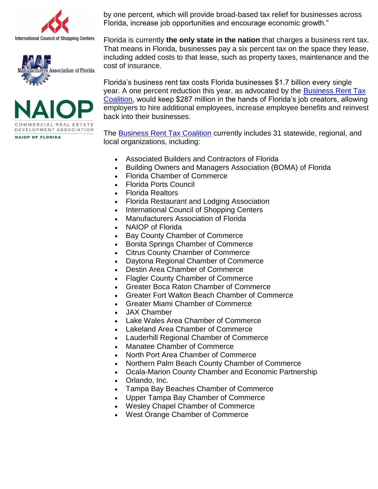





by one percent, which will provide broad-based tax relief for businesses across Florida, increase job opportunities and encourage economic growth."

Florida is currently **the only state in the nation** that charges a business rent tax. That means in Florida, businesses pay a six percent tax on the space they lease, including added costs to that lease, such as property taxes, maintenance and the cost of insurance.

Florida's business rent tax costs Florida businesses \$1.7 billion every single year. A one percent reduction this year, as advocated by the [Business Rent Tax](http://cutmybizrent.tax/)  [Coalition,](http://cutmybizrent.tax/) would keep \$287 million in the hands of Florida's job creators, allowing employers to hire additional employees, increase employee benefits and reinvest back into their businesses.

The [Business Rent Tax Coalition](http://cutmybizrent.tax/) currently includes 31 statewide, regional, and local organizations, including:

- Associated Builders and Contractors of Florida
- Building Owners and Managers Association (BOMA) of Florida
- Florida Chamber of Commerce
- Florida Ports Council
- Florida Realtors
- Florida Restaurant and Lodging Association
- International Council of Shopping Centers
- Manufacturers Association of Florida
- NAIOP of Florida
- Bay County Chamber of Commerce
- Bonita Springs Chamber of Commerce
- Citrus County Chamber of Commerce
- Daytona Regional Chamber of Commerce
- Destin Area Chamber of Commerce
- Flagler County Chamber of Commerce
- Greater Boca Raton Chamber of Commerce
- Greater Fort Walton Beach Chamber of Commerce
- Greater Miami Chamber of Commerce
- JAX Chamber
- Lake Wales Area Chamber of Commerce
- Lakeland Area Chamber of Commerce
- Lauderhill Regional Chamber of Commerce
- Manatee Chamber of Commerce
- North Port Area Chamber of Commerce
- Northern Palm Beach County Chamber of Commerce
- Ocala-Marion County Chamber and Economic Partnership
- Orlando, Inc.
- Tampa Bay Beaches Chamber of Commerce
- Upper Tampa Bay Chamber of Commerce
- Wesley Chapel Chamber of Commerce
- West Orange Chamber of Commerce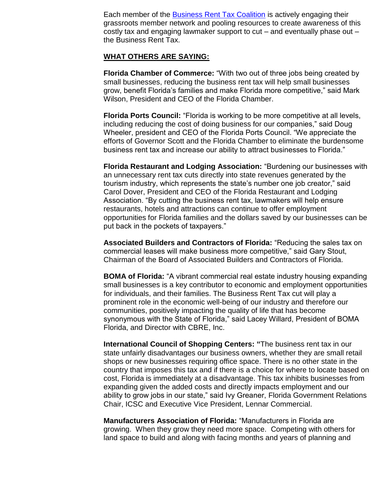Each member of the [Business Rent Tax Coalition](http://cutmybizrent.tax/) is actively engaging their grassroots member network and pooling resources to create awareness of this costly tax and engaging lawmaker support to cut – and eventually phase out – the Business Rent Tax.

## **WHAT OTHERS ARE SAYING:**

**Florida Chamber of Commerce:** "With two out of three jobs being created by small businesses, reducing the business rent tax will help small businesses grow, benefit Florida's families and make Florida more competitive," said Mark Wilson, President and CEO of the Florida Chamber.

**Florida Ports Council:** "Florida is working to be more competitive at all levels, including reducing the cost of doing business for our companies," said Doug Wheeler, president and CEO of the Florida Ports Council. "We appreciate the efforts of Governor Scott and the Florida Chamber to eliminate the burdensome business rent tax and increase our ability to attract businesses to Florida."

**Florida Restaurant and Lodging Association:** "Burdening our businesses with an unnecessary rent tax cuts directly into state revenues generated by the tourism industry, which represents the state's number one job creator," said Carol Dover, President and CEO of the Florida Restaurant and Lodging Association. "By cutting the business rent tax, lawmakers will help ensure restaurants, hotels and attractions can continue to offer employment opportunities for Florida families and the dollars saved by our businesses can be put back in the pockets of taxpayers."

**Associated Builders and Contractors of Florida:** "Reducing the sales tax on commercial leases will make business more competitive," said Gary Stout, Chairman of the Board of Associated Builders and Contractors of Florida.

**BOMA of Florida:** "A vibrant commercial real estate industry housing expanding small businesses is a key contributor to economic and employment opportunities for individuals, and their families. The Business Rent Tax cut will play a prominent role in the economic well-being of our industry and therefore our communities, positively impacting the quality of life that has become synonymous with the State of Florida," said Lacey Willard, President of BOMA Florida, and Director with CBRE, Inc.

**International Council of Shopping Centers: "**The business rent tax in our state unfairly disadvantages our business owners, whether they are small retail shops or new businesses requiring office space. There is no other state in the country that imposes this tax and if there is a choice for where to locate based on cost, Florida is immediately at a disadvantage. This tax inhibits businesses from expanding given the added costs and directly impacts employment and our ability to grow jobs in our state," said Ivy Greaner, Florida Government Relations Chair, ICSC and Executive Vice President, Lennar Commercial.

**Manufacturers Association of Florida:** "Manufacturers in Florida are growing. When they grow they need more space. Competing with others for land space to build and along with facing months and years of planning and